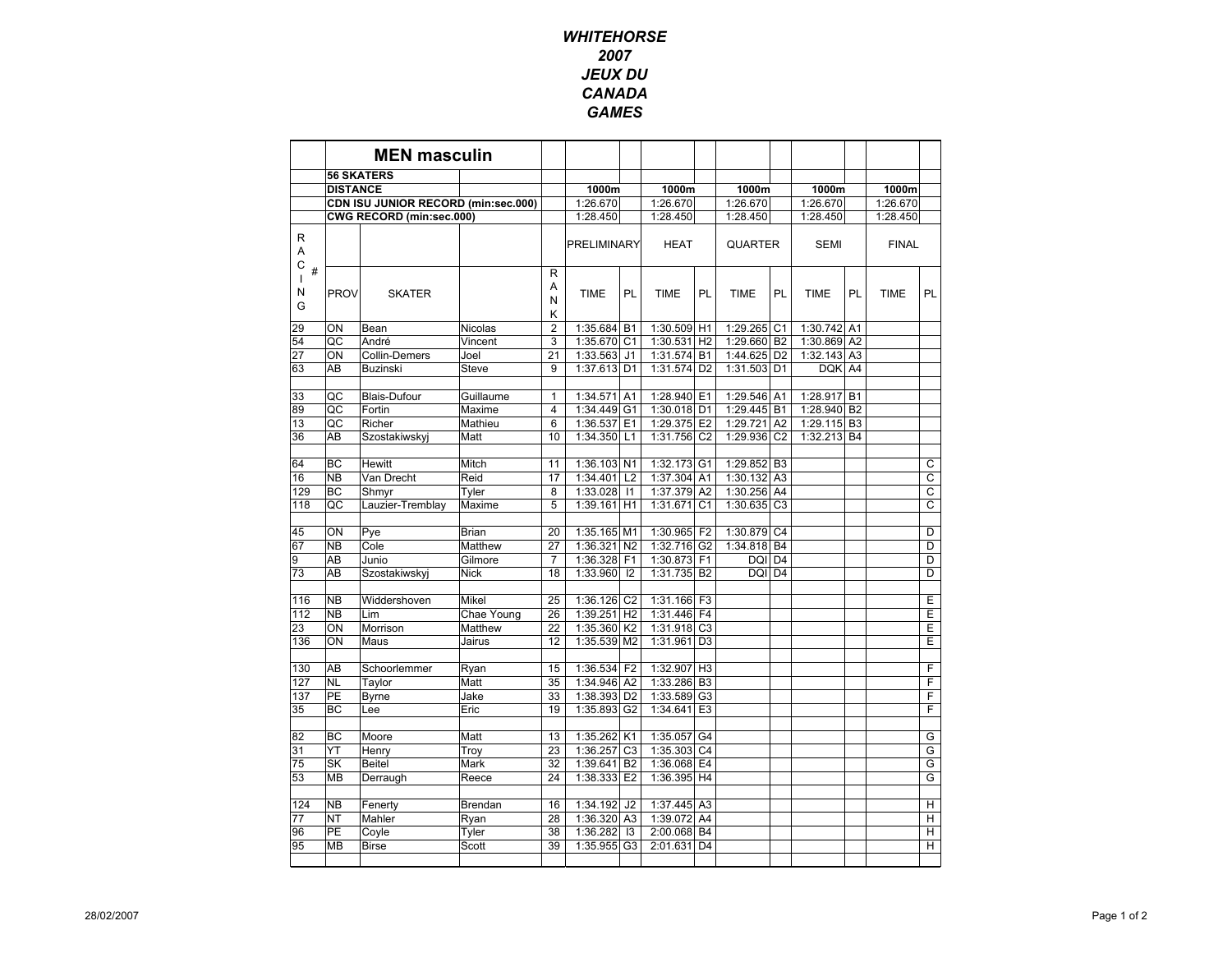## **WHITEHORSE** 2007 JEUX DU CANADAGAMES

|                                | <b>MEN masculin</b>                 |                     |                    |                             |                      |                                  |                         |                                  |                 |                             |             |                |              |           |
|--------------------------------|-------------------------------------|---------------------|--------------------|-----------------------------|----------------------|----------------------------------|-------------------------|----------------------------------|-----------------|-----------------------------|-------------|----------------|--------------|-----------|
|                                | <b>56 SKATERS</b>                   |                     |                    |                             |                      |                                  |                         |                                  |                 |                             |             |                |              |           |
|                                | <b>DISTANCE</b>                     |                     |                    |                             | 1000m                |                                  | 1000m                   |                                  | 1000m           |                             | 1000m       |                | 1000m        |           |
|                                | CDN ISU JUNIOR RECORD (min:sec.000) |                     |                    |                             | 1:26.670             |                                  | 1:26.670                |                                  | 1:26.670        |                             | 1:26.670    |                | 1:26.670     |           |
|                                | CWG RECORD (min:sec.000)            |                     |                    | 1:28.450                    |                      | 1:28.450                         |                         | 1:28.450                         |                 | 1:28.450                    |             | 1:28.450       |              |           |
| R<br>Α<br>С                    |                                     |                     |                    |                             | PRELIMINARY          |                                  | <b>HEAT</b>             |                                  | <b>QUARTER</b>  |                             | <b>SEMI</b> |                | <b>FINAL</b> |           |
| $\#$<br>$\mathbf{I}$<br>N<br>G | <b>PROV</b>                         | <b>SKATER</b>       |                    | $\mathsf{R}$<br>Α<br>N<br>Κ | <b>TIME</b>          | PL                               | <b>TIME</b>             | PL                               | <b>TIME</b>     | <b>PL</b>                   | <b>TIME</b> | PL             | <b>TIME</b>  | <b>PL</b> |
| 29                             | ON                                  | Bean                | Nicolas            | $\overline{2}$              | 1:35.684             | <b>B1</b>                        | 1:30.509                | H1                               | 1:29.265        | C <sub>1</sub>              | 1:30.742 A1 |                |              |           |
| 54                             | QC                                  | André               | Vincent            | 3                           | 1:35.670 C1          |                                  | 1:30.531                | H <sub>2</sub>                   | 1:29.660        | B <sub>2</sub>              | 1:30.869 A2 |                |              |           |
| 27                             | ON                                  | Collin-Demers       | Joel               | 21                          | 1:33.563             | J <sub>1</sub>                   | 1:31.574                | <b>B1</b>                        | 1:44.625        | D <sub>2</sub>              | 1:32.143    | A <sub>3</sub> |              |           |
| 63                             | AB                                  | <b>Buzinski</b>     | Steve              | 9                           | 1:37.613 D1          |                                  | 1:31.574                | D <sub>2</sub>                   | 1:31.503        | D <sub>1</sub>              | <b>DQK</b>  | A <sub>4</sub> |              |           |
| 33                             | QC                                  | <b>Blais-Dufour</b> | Guillaume          | $\mathbf{1}$                | 1:34.571             | A <sub>1</sub>                   | 1:28.940                | E <sub>1</sub>                   | 1:29.546        | A <sub>1</sub>              | 1:28.917    | <b>B1</b>      |              |           |
| 89                             | QC                                  | Fortin              | Maxime             | 4                           | 1:34.449             | G <sub>1</sub>                   | 1:30.018 D1             |                                  | 1:29.445        | <b>B1</b>                   | 1:28.940    | B <sub>2</sub> |              |           |
| 13                             | QC                                  | Richer              | Mathieu            | 6                           | 1:36.537             | E <sub>1</sub>                   | 1:29.375                | E <sub>2</sub>                   | 1:29.721        | A <sub>2</sub>              | 1:29.115    | B <sub>3</sub> |              |           |
| 36                             | AB                                  | Szostakiwskyj       | Matt               | 10                          | 1:34.350             | L1                               | 1:31.756                | C <sub>2</sub>                   | 1:29.936        | C <sub>2</sub>              | 1:32.213 B4 |                |              |           |
|                                |                                     |                     |                    |                             |                      |                                  |                         |                                  |                 |                             |             |                |              |           |
| 64                             | BC                                  | Hewitt              | Mitch              | 11                          | 1:36.103 N1          |                                  | 1:32.173 G1             |                                  | 1:29.852        | B <sub>3</sub>              |             |                |              | C         |
| 16                             | <b>NB</b>                           | Van Drecht          | Reid               | 17                          | 1:34.401             | L <sub>2</sub>                   | 1:37.304 A1             |                                  | 1:30.132        | A <sub>3</sub>              |             |                |              | C         |
| 129                            | <b>BC</b>                           | Shmyr               | Tyler              | 8                           | 1:33.028             | 1                                | 1:37.379 A2             |                                  | 1:30.256        | A4                          |             |                |              | C         |
| 118                            | QC                                  | Lauzier-Tremblay    | Maxime             | 5                           | 1:39.161             | H1                               | 1:31.671                | C <sub>1</sub>                   | 1:30.635        | C <sub>3</sub>              |             |                |              | C         |
|                                |                                     |                     |                    |                             |                      |                                  |                         |                                  |                 |                             |             |                |              |           |
| 45                             | ON<br><b>NB</b>                     | Pye<br>Cole         | Brian              | 20<br>27                    | 1:35.165 M1          |                                  | 1:30.965                | F <sub>2</sub>                   | 1:30.879        | C <sub>4</sub>              |             |                |              | D         |
| 67<br>9                        | AB                                  | Junio               | Matthew<br>Gilmore | $\overline{7}$              | 1:36.321<br>1:36.328 | N <sub>2</sub><br>F <sub>1</sub> | 1:32.716 G2<br>1:30.873 | F <sub>1</sub>                   | 1:34.818<br>DQI | <b>B4</b><br>D <sub>4</sub> |             |                |              | D<br>D    |
| 73                             | AB                                  | Szostakiwskyj       | <b>Nick</b>        | 18                          | 1:33.960             | 12                               | 1:31.735 B2             |                                  | DQI             | D <sub>4</sub>              |             |                |              | D         |
|                                |                                     |                     |                    |                             |                      |                                  |                         |                                  |                 |                             |             |                |              |           |
| 116                            | <b>NB</b>                           | Widdershoven        | Mikel              | 25                          | 1:36.126 C2          |                                  | 1:31.166 F3             |                                  |                 |                             |             |                |              | E         |
| 112                            | <b>NB</b>                           | Lim                 | Chae Young         | 26                          | 1:39.251             | H <sub>2</sub>                   | 1:31.446                | F <sub>4</sub>                   |                 |                             |             |                |              | E         |
| 23                             | ON                                  | Morrison            | Matthew            | 22                          | 1:35.360 K2          |                                  | 1:31.918                | C <sub>3</sub>                   |                 |                             |             |                |              | Е         |
| 136                            | ON                                  | Maus                | Jairus             | 12                          | 1:35.539 M2          |                                  | 1:31.961                | D <sub>3</sub>                   |                 |                             |             |                |              | E         |
|                                |                                     |                     |                    |                             |                      |                                  |                         |                                  |                 |                             |             |                |              |           |
| 130                            | AB                                  | Schoorlemmer        | Ryan               | 15                          | 1:36.534             | F <sub>2</sub>                   | 1:32.907                | H <sub>3</sub>                   |                 |                             |             |                |              | F         |
| 127                            | <b>NL</b>                           | Taylor              | Matt               | 35                          | 1:34.946 A2          |                                  | 1:33.286                | B <sub>3</sub>                   |                 |                             |             |                |              | F<br>F    |
| 137<br>35                      | PE<br><b>BC</b>                     | <b>Byrne</b><br>Lee | Jake<br>Eric       | 33<br>19                    | 1:38.393<br>1:35.893 | D <sub>2</sub><br>G <sub>2</sub> | 1:33.589<br>1:34.641    | G <sub>3</sub><br>E <sub>3</sub> |                 |                             |             |                |              | F         |
|                                |                                     |                     |                    |                             |                      |                                  |                         |                                  |                 |                             |             |                |              |           |
| 82                             | <b>BC</b>                           | Moore               | Matt               | 13                          | 1:35.262             | K <sub>1</sub>                   | 1:35.057                | G <sub>4</sub>                   |                 |                             |             |                |              | G         |
| 31                             | YT                                  | Henry               | Trov               | 23                          | 1:36.257             | C <sub>3</sub>                   | 1:35.303                | C <sub>4</sub>                   |                 |                             |             |                |              | G         |
| 75                             | SK                                  | Beitel              | Mark               | 32                          | 1:39.641             | B <sub>2</sub>                   | 1:36.068                | E <sub>4</sub>                   |                 |                             |             |                |              | G         |
| 53                             | <b>MB</b>                           | Derraugh            | Reece              | 24                          | 1:38.333             | E <sub>2</sub>                   | 1:36.395                | H4                               |                 |                             |             |                |              | G         |
|                                |                                     |                     |                    |                             |                      |                                  |                         |                                  |                 |                             |             |                |              |           |
| 124                            | <b>NB</b>                           | Fenerty             | Brendan            | 16                          | 1:34.192             | J2                               | 1:37.445                | A <sub>3</sub>                   |                 |                             |             |                |              | н         |
| 77                             | <b>NT</b>                           | Mahler              | Ryan               | 28                          | 1:36.320             | A <sub>3</sub>                   | 1:39.072                | A <sub>4</sub>                   |                 |                             |             |                |              | н         |
| 96                             | PE                                  | Coyle               | Tyler              | 38                          | 1:36.282             | 13                               | 2:00.068                | <b>B4</b>                        |                 |                             |             |                |              | н         |
| 95                             | <b>MB</b>                           | <b>Birse</b>        | Scott              | 39                          | 1:35.955 G3          |                                  | 2:01.631                | D <sub>4</sub>                   |                 |                             |             |                |              | н         |